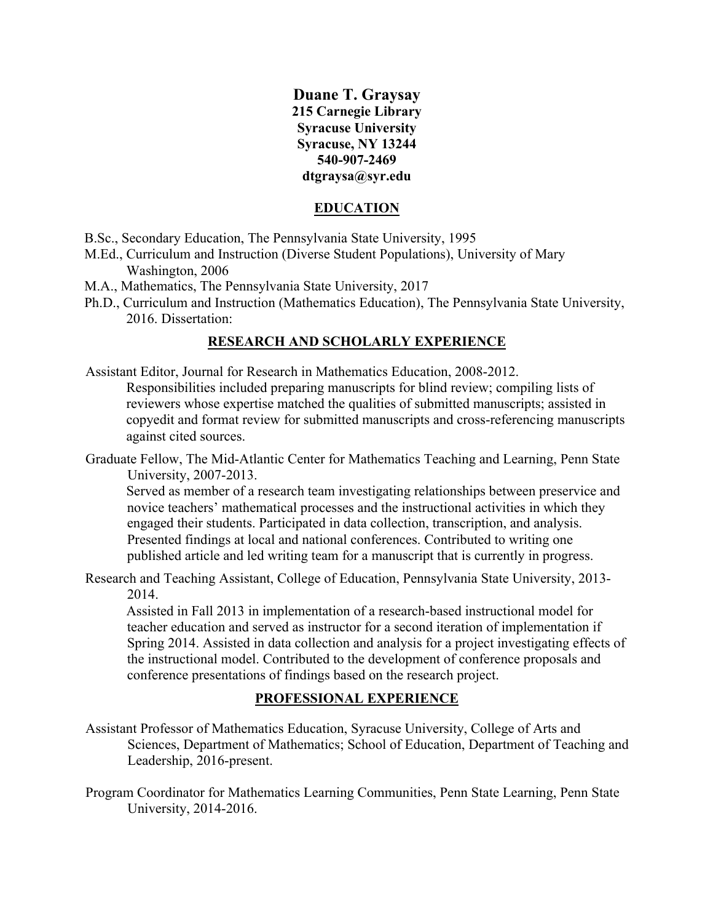## **Duane T. Graysay 215 Carnegie Library Syracuse University Syracuse, NY 13244 540-907-2469 dtgraysa@syr.edu**

### **EDUCATION**

- B.Sc., Secondary Education, The Pennsylvania State University, 1995
- M.Ed., Curriculum and Instruction (Diverse Student Populations), University of Mary Washington, 2006
- M.A., Mathematics, The Pennsylvania State University, 2017
- 2016. Dissertation: Ph.D., Curriculum and Instruction (Mathematics Education), The Pennsylvania State University,

### **RESEARCH AND SCHOLARLY EXPERIENCE**

- Assistant Editor, Journal for Research in Mathematics Education, 2008-2012. Responsibilities included preparing manuscripts for blind review; compiling lists of reviewers whose expertise matched the qualities of submitted manuscripts; assisted in copyedit and format review for submitted manuscripts and cross-referencing manuscripts against cited sources.
- Graduate Fellow, The Mid-Atlantic Center for Mathematics Teaching and Learning, Penn State University, 2007-2013.

Served as member of a research team investigating relationships between preservice and novice teachers' mathematical processes and the instructional activities in which they engaged their students. Participated in data collection, transcription, and analysis. Presented findings at local and national conferences. Contributed to writing one published article and led writing team for a manuscript that is currently in progress.

Research and Teaching Assistant, College of Education, Pennsylvania State University, 2013- 2014.

Assisted in Fall 2013 in implementation of a research-based instructional model for teacher education and served as instructor for a second iteration of implementation if Spring 2014. Assisted in data collection and analysis for a project investigating effects of the instructional model. Contributed to the development of conference proposals and conference presentations of findings based on the research project.

## **PROFESSIONAL EXPERIENCE**

- Assistant Professor of Mathematics Education, Syracuse University, College of Arts and Sciences, Department of Mathematics; School of Education, Department of Teaching and Leadership, 2016-present.
- Program Coordinator for Mathematics Learning Communities, Penn State Learning, Penn State University, 2014-2016.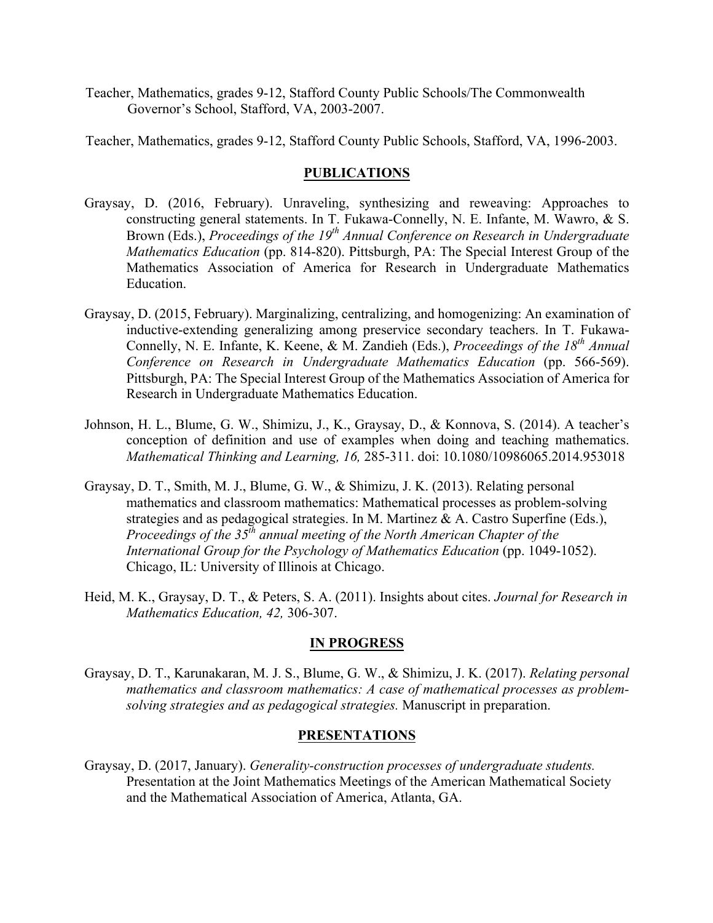Teacher, Mathematics, grades 9-12, Stafford County Public Schools/The Commonwealth Governor's School, Stafford, VA, 2003-2007.

Teacher, Mathematics, grades 9-12, Stafford County Public Schools, Stafford, VA, 1996-2003.

#### **PUBLICATIONS**

- Brown (Eds.), *Proceedings of the 19<sup>th</sup> Annual Conference on Research in Undergraduate Mathematics Education* (pp. 814-820). Pittsburgh, PA: The Special Interest Group of the Graysay, D. (2016, February). Unraveling, synthesizing and reweaving: Approaches to constructing general statements. In T. Fukawa-Connelly, N. E. Infante, M. Wawro, & S. Mathematics Association of America for Research in Undergraduate Mathematics Education.
- Connelly, N. E. Infante, K. Keene, & M. Zandieh (Eds.), *Proceedings of the 18<sup>th</sup> Annual*  Pittsburgh, PA: The Special Interest Group of the Mathematics Association of America for Graysay, D. (2015, February). Marginalizing, centralizing, and homogenizing: An examination of inductive-extending generalizing among preservice secondary teachers. In T. Fukawa-*Conference on Research in Undergraduate Mathematics Education* (pp. 566-569). Research in Undergraduate Mathematics Education.
- Johnson, H. L., Blume, G. W., Shimizu, J., K., Graysay, D., & Konnova, S. (2014). A teacher's conception of definition and use of examples when doing and teaching mathematics. *Mathematical Thinking and Learning, 16,* 285-311. doi: 10.1080/10986065.2014.953018
- Graysay, D. T., Smith, M. J., Blume, G. W., & Shimizu, J. K. (2013). Relating personal mathematics and classroom mathematics: Mathematical processes as problem-solving strategies and as pedagogical strategies. In M. Martinez & A. Castro Superfine (Eds.), *Proceedings of the 35<sup>th</sup> annual meeting of the North American Chapter of the International Group for the Psychology of Mathematics Education* (pp. 1049-1052). Chicago, IL: University of Illinois at Chicago.
- Heid, M. K., Graysay, D. T., & Peters, S. A. (2011). Insights about cites. *Journal for Research in Mathematics Education, 42,* 306-307.

### **IN PROGRESS**

mathematics and classroom mathematics: A case of mathematical processes as problem-Graysay, D. T., Karunakaran, M. J. S., Blume, G. W., & Shimizu, J. K. (2017). *Relating personal solving strategies and as pedagogical strategies.* Manuscript in preparation.

#### **PRESENTATIONS**

Graysay, D. (2017, January). *Generality-construction processes of undergraduate students.*  Presentation at the Joint Mathematics Meetings of the American Mathematical Society and the Mathematical Association of America, Atlanta, GA.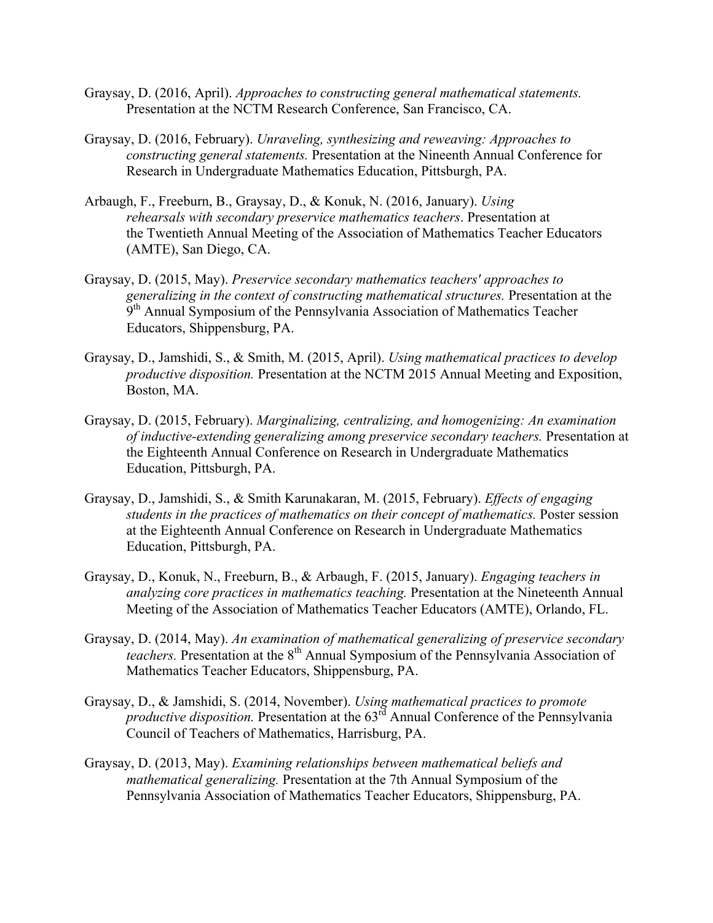- Graysay, D. (2016, April). *Approaches to constructing general mathematical statements.*  Presentation at the NCTM Research Conference, San Francisco, CA.
- *constructing general statements.* Presentation at the Nineenth Annual Conference for Graysay, D. (2016, February). *Unraveling, synthesizing and reweaving: Approaches to*  Research in Undergraduate Mathematics Education, Pittsburgh, PA.
- (AMTE), San Diego, CA. Arbaugh, F., Freeburn, B., Graysay, D., & Konuk, N. (2016, January). *Using rehearsals with secondary preservice mathematics teachers*. Presentation at the Twentieth Annual Meeting of the Association of Mathematics Teacher Educators
- Graysay, D. (2015, May). *Preservice secondary mathematics teachers' approaches to generalizing in the context of constructing mathematical structures.* Presentation at the 9<sup>th</sup> Annual Symposium of the Pennsylvania Association of Mathematics Teacher Educators, Shippensburg, PA.
- Graysay, D., Jamshidi, S., & Smith, M. (2015, April). *Using mathematical practices to develop productive disposition.* Presentation at the NCTM 2015 Annual Meeting and Exposition, Boston, MA.
- Graysay, D. (2015, February). *Marginalizing, centralizing, and homogenizing: An examination of inductive-extending generalizing among preservice secondary teachers.* Presentation at the Eighteenth Annual Conference on Research in Undergraduate Mathematics Education, Pittsburgh, PA.
- Graysay, D., Jamshidi, S., & Smith Karunakaran, M. (2015, February). *Effects of engaging students in the practices of mathematics on their concept of mathematics.* Poster session at the Eighteenth Annual Conference on Research in Undergraduate Mathematics Education, Pittsburgh, PA.
- Graysay, D., Konuk, N., Freeburn, B., & Arbaugh, F. (2015, January). *Engaging teachers in analyzing core practices in mathematics teaching.* Presentation at the Nineteenth Annual Meeting of the Association of Mathematics Teacher Educators (AMTE), Orlando, FL.
- Graysay, D. (2014, May). *An examination of mathematical generalizing of preservice secondary teachers.* Presentation at the 8<sup>th</sup> Annual Symposium of the Pennsylvania Association of Mathematics Teacher Educators, Shippensburg, PA.
- Graysay, D., & Jamshidi, S. (2014, November). *Using mathematical practices to promote productive disposition.* Presentation at the 63<sup>rd</sup> Annual Conference of the Pennsylvania Council of Teachers of Mathematics, Harrisburg, PA.
- Graysay, D. (2013, May). *Examining relationships between mathematical beliefs and mathematical generalizing.* Presentation at the 7th Annual Symposium of the Pennsylvania Association of Mathematics Teacher Educators, Shippensburg, PA.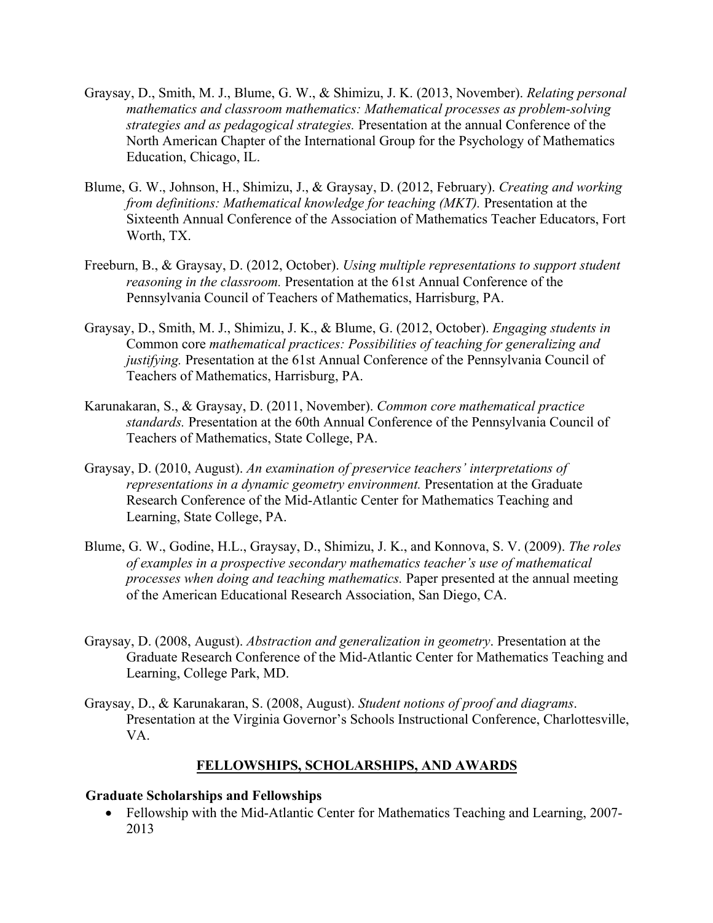- Graysay, D., Smith, M. J., Blume, G. W., & Shimizu, J. K. (2013, November). *Relating personal mathematics and classroom mathematics: Mathematical processes as problem-solving strategies and as pedagogical strategies.* Presentation at the annual Conference of the North American Chapter of the International Group for the Psychology of Mathematics Education, Chicago, IL.
- Blume, G. W., Johnson, H., Shimizu, J., & Graysay, D. (2012, February). *Creating and working from definitions: Mathematical knowledge for teaching (MKT).* Presentation at the Sixteenth Annual Conference of the Association of Mathematics Teacher Educators, Fort Worth, TX.
- Freeburn, B., & Graysay, D. (2012, October). *Using multiple representations to support student reasoning in the classroom.* Presentation at the 61st Annual Conference of the Pennsylvania Council of Teachers of Mathematics, Harrisburg, PA.
- Graysay, D., Smith, M. J., Shimizu, J. K., & Blume, G. (2012, October). *Engaging students in*  Common core *mathematical practices: Possibilities of teaching for generalizing and justifying.* Presentation at the 61st Annual Conference of the Pennsylvania Council of Teachers of Mathematics, Harrisburg, PA.
- Karunakaran, S., & Graysay, D. (2011, November). *Common core mathematical practice standards.* Presentation at the 60th Annual Conference of the Pennsylvania Council of Teachers of Mathematics, State College, PA.
- *representations in a dynamic geometry environment.* Presentation at the Graduate Graysay, D. (2010, August). *An examination of preservice teachers' interpretations of*  Research Conference of the Mid-Atlantic Center for Mathematics Teaching and Learning, State College, PA.
- Blume, G. W., Godine, H.L., Graysay, D., Shimizu, J. K., and Konnova, S. V. (2009). *The roles of examples in a prospective secondary mathematics teacher's use of mathematical processes when doing and teaching mathematics.* Paper presented at the annual meeting of the American Educational Research Association, San Diego, CA.
- Graysay, D. (2008, August). *Abstraction and generalization in geometry*. Presentation at the Graduate Research Conference of the Mid-Atlantic Center for Mathematics Teaching and Learning, College Park, MD.
- Graysay, D., & Karunakaran, S. (2008, August). *Student notions of proof and diagrams*. Presentation at the Virginia Governor's Schools Instructional Conference, Charlottesville, VA.

# **FELLOWSHIPS, SCHOLARSHIPS, AND AWARDS**

## **Graduate Scholarships and Fellowships**

• Fellowship with the Mid-Atlantic Center for Mathematics Teaching and Learning, 2007- 2013